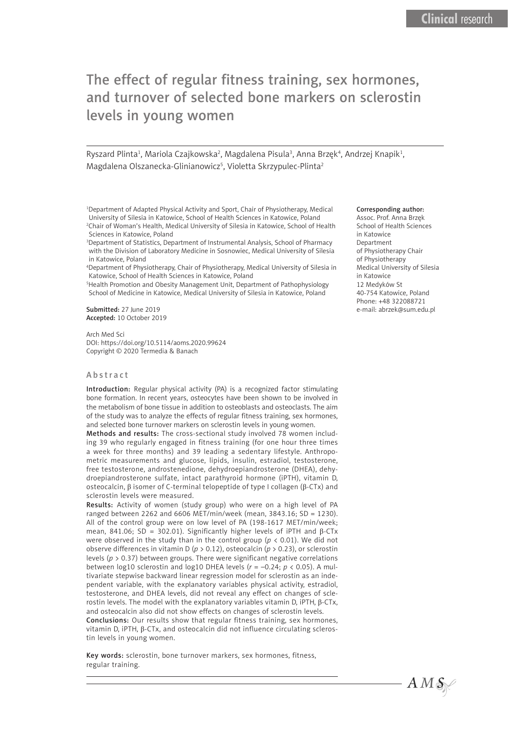# The effect of regular fitness training, sex hormones, and turnover of selected bone markers on sclerostin levels in young women

Ryszard Plinta<sup>1</sup>, Mariola Czajkowska<sup>2</sup>, Magdalena Pisula<sup>3</sup>, Anna Brzęk<sup>4</sup>, Andrzej Knapik<sup>1</sup>, Magdalena Olszanecka-Glinianowicz<sup>5</sup>, Violetta Skrzypulec-Plinta<sup>2</sup>

<sup>1</sup>Department of Adapted Physical Activity and Sport, Chair of Physiotherapy, Medical University of Silesia in Katowice, School of Health Sciences in Katowice, Poland 2 Chair of Woman's Health, Medical University of Silesia in Katowice, School of Health Sciences in Katowice, Poland

3 Department of Statistics, Department of Instrumental Analysis, School of Pharmacy with the Division of Laboratory Medicine in Sosnowiec, Medical University of Silesia in Katowice, Poland

4 Department of Physiotherapy, Chair of Physiotherapy, Medical University of Silesia in Katowice, School of Health Sciences in Katowice, Poland

5 Health Promotion and Obesity Management Unit, Department of Pathophysiology School of Medicine in Katowice, Medical University of Silesia in Katowice, Poland

Submitted: 27 June 2019 Accepted: 10 October 2019

Arch Med Sci DOI: https://doi.org/10.5114/aoms.2020.99624 Copyright © 2020 Termedia & Banach

## Abstract

Introduction: Regular physical activity (PA) is a recognized factor stimulating bone formation. In recent years, osteocytes have been shown to be involved in the metabolism of bone tissue in addition to osteoblasts and osteoclasts. The aim of the study was to analyze the effects of regular fitness training, sex hormones, and selected bone turnover markers on sclerostin levels in young women.

Methods and results: The cross-sectional study involved 78 women including 39 who regularly engaged in fitness training (for one hour three times a week for three months) and 39 leading a sedentary lifestyle. Anthropometric measurements and glucose, lipids, insulin, estradiol, testosterone, free testosterone, androstenedione, dehydroepiandrosterone (DHEA), dehydroepiandrosterone sulfate, intact parathyroid hormone (iPTH), vitamin D, osteocalcin, β isomer of C-terminal telopeptide of type I collagen (β-CTx) and sclerostin levels were measured.

Results: Activity of women (study group) who were on a high level of PA ranged between 2262 and 6606 MET/min/week (mean, 3843.16; SD = 1230). All of the control group were on low level of PA (198-1617 MET/min/week; mean, 841.06; SD = 302.01). Significantly higher levels of iPTH and β-CTx were observed in the study than in the control group ( $p < 0.01$ ). We did not observe differences in vitamin D (*p* > 0.12), osteocalcin (*p* > 0.23), or sclerostin levels (*p* > 0.37) between groups. There were significant negative correlations between log10 sclerostin and log10 DHEA levels (*r* = –0.24; *p* < 0.05). A multivariate stepwise backward linear regression model for sclerostin as an independent variable, with the explanatory variables physical activity, estradiol, testosterone, and DHEA levels, did not reveal any effect on changes of sclerostin levels. The model with the explanatory variables vitamin D, iPTH, β-CTx, and osteocalcin also did not show effects on changes of sclerostin levels. Conclusions: Our results show that regular fitness training, sex hormones, vitamin D, iPTH, β-CTx, and osteocalcin did not influence circulating sclerostin levels in young women.

Key words: sclerostin, bone turnover markers, sex hormones, fitness, regular training.

#### Corresponding author:

Assoc. Prof. Anna Brzęk School of Health Sciences in Katowice Department of Physiotherapy Chair of Physiotherapy Medical University of Silesia in Katowice 12 Medyków St 40-754 Katowice, Poland Phone: +48 322088721 e-mail: abrzek@sum.edu.pl

 $AMS$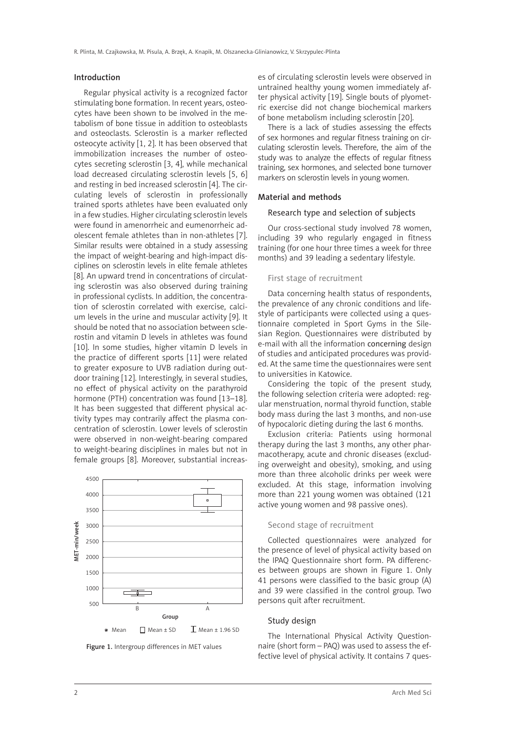#### Introduction

Regular physical activity is a recognized factor stimulating bone formation. In recent years, osteocytes have been shown to be involved in the metabolism of bone tissue in addition to osteoblasts and osteoclasts. Sclerostin is a marker reflected osteocyte activity [1, 2]. It has been observed that immobilization increases the number of osteocytes secreting sclerostin [3, 4], while mechanical load decreased circulating sclerostin levels [5, 6] and resting in bed increased sclerostin [4]. The circulating levels of sclerostin in professionally trained sports athletes have been evaluated only in a few studies. Higher circulating sclerostin levels were found in amenorrheic and eumenorrheic adolescent female athletes than in non-athletes [7]. Similar results were obtained in a study assessing the impact of weight-bearing and high-impact disciplines on sclerostin levels in elite female athletes [8]. An upward trend in concentrations of circulating sclerostin was also observed during training in professional cyclists. In addition, the concentration of sclerostin correlated with exercise, calcium levels in the urine and muscular activity [9]. It should be noted that no association between sclerostin and vitamin D levels in athletes was found [10]. In some studies, higher vitamin D levels in the practice of different sports [11] were related to greater exposure to UVB radiation during outdoor training [12]. Interestingly, in several studies, no effect of physical activity on the parathyroid hormone (PTH) concentration was found [13–18]. It has been suggested that different physical activity types may contrarily affect the plasma concentration of sclerostin. Lower levels of sclerostin were observed in non-weight-bearing compared to weight-bearing disciplines in males but not in female groups [8]. Moreover, substantial increas-





es of circulating sclerostin levels were observed in untrained healthy young women immediately after physical activity [19]. Single bouts of plyometric exercise did not change biochemical markers of bone metabolism including sclerostin [20].

There is a lack of studies assessing the effects of sex hormones and regular fitness training on circulating sclerostin levels. Therefore, the aim of the study was to analyze the effects of regular fitness training, sex hormones, and selected bone turnover markers on sclerostin levels in young women.

### Material and methods

#### Research type and selection of subjects

Our cross-sectional study involved 78 women, including 39 who regularly engaged in fitness training (for one hour three times a week for three months) and 39 leading a sedentary lifestyle.

#### First stage of recruitment

Data concerning health status of respondents, the prevalence of any chronic conditions and lifestyle of participants were collected using a questionnaire completed in Sport Gyms in the Silesian Region. Questionnaires were distributed by e-mail with all the information concerning design of studies and anticipated procedures was provided. At the same time the questionnaires were sent to universities in Katowice.

Considering the topic of the present study, the following selection criteria were adopted: regular menstruation, normal thyroid function, stable body mass during the last 3 months, and non-use of hypocaloric dieting during the last 6 months.

Exclusion criteria: Patients using hormonal therapy during the last 3 months, any other pharmacotherapy, acute and chronic diseases (excluding overweight and obesity), smoking, and using more than three alcoholic drinks per week were excluded. At this stage, information involving more than 221 young women was obtained (121 active young women and 98 passive ones).

#### Second stage of recruitment

Collected questionnaires were analyzed for the presence of level of physical activity based on the IPAQ Questionnaire short form. PA differences between groups are shown in Figure 1. Only 41 persons were classified to the basic group (A) and 39 were classified in the control group. Two persons quit after recruitment.

### Study design

The International Physical Activity Questionnaire (short form – PAQ) was used to assess the effective level of physical activity. It contains 7 ques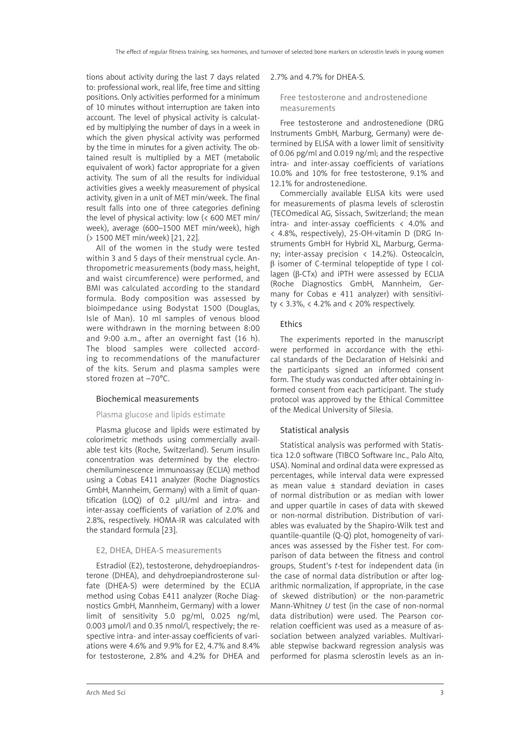tions about activity during the last 7 days related to: professional work, real life, free time and sitting positions. Only activities performed for a minimum of 10 minutes without interruption are taken into account. The level of physical activity is calculated by multiplying the number of days in a week in which the given physical activity was performed by the time in minutes for a given activity. The obtained result is multiplied by a MET (metabolic equivalent of work) factor appropriate for a given activity. The sum of all the results for individual activities gives a weekly measurement of physical activity, given in a unit of MET min/week. The final result falls into one of three categories defining the level of physical activity: low (< 600 MET min/ week), average (600–1500 MET min/week), high (> 1500 MET min/week) [21, 22].

All of the women in the study were tested within 3 and 5 days of their menstrual cycle. Anthropometric measurements (body mass, height, and waist circumference) were performed, and BMI was calculated according to the standard formula. Body composition was assessed by bioimpedance using Bodystat 1500 (Douglas, Isle of Man). 10 ml samples of venous blood were withdrawn in the morning between 8:00 and 9:00 a.m., after an overnight fast (16 h). The blood samples were collected according to recommendations of the manufacturer of the kits. Serum and plasma samples were stored frozen at –70°C.

## Biochemical measurements

### Plasma glucose and lipids estimate

Plasma glucose and lipids were estimated by colorimetric methods using commercially available test kits (Roche, Switzerland). Serum insulin concentration was determined by the electrochemiluminescence immunoassay (ECLIA) method using a Cobas E411 analyzer (Roche Diagnostics GmbH, Mannheim, Germany) with a limit of quantification (LOQ) of 0.2 µIU/ml and intra- and inter-assay coefficients of variation of 2.0% and 2.8%, respectively. HOMA-IR was calculated with the standard formula [23].

## E2, DHEA, DHEA-S measurements

Estradiol (E2), testosterone, dehydroepiandrosterone (DHEA), and dehydroepiandrosterone sulfate (DHEA-S) were determined by the ECLIA method using Cobas E411 analyzer (Roche Diagnostics GmbH, Mannheim, Germany) with a lower limit of sensitivity 5.0 pg/ml, 0.025 ng/ml, 0.003 µmol/l and 0.35 nmol/l, respectively; the respective intra- and inter-assay coefficients of variations were 4.6% and 9.9% for E2, 4.7% and 8.4% for testosterone, 2.8% and 4.2% for DHEA and

#### 2.7% and 4.7% for DHEA-S.

## Free testosterone and androstenedione measurements

Free testosterone and androstenedione (DRG Instruments GmbH, Marburg, Germany) were determined by ELISA with a lower limit of sensitivity of 0.06 pg/ml and 0.019 ng/ml; and the respective intra- and inter-assay coefficients of variations 10.0% and 10% for free testosterone, 9.1% and 12.1% for androstenedione.

Commercially available ELISA kits were used for measurements of plasma levels of sclerostin (TECOmedical AG, Sissach, Switzerland; the mean intra- and inter-assay coefficients  $\langle 4.0\%$  and < 4.8%, respectively), 25-OH-vitamin D (DRG Instruments GmbH for Hybrid XL, Marburg, Germany; inter-assay precision  $\langle 14.2\% \rangle$ . Osteocalcin, β isomer of C-terminal telopeptide of type I collagen (β-CTx) and iPTH were assessed by ECLIA (Roche Diagnostics GmbH, Mannheim, Germany for Cobas e 411 analyzer) with sensitivity < 3.3%, < 4.2% and < 20% respectively.

#### **Ethics**

The experiments reported in the manuscript were performed in accordance with the ethical standards of the Declaration of Helsinki and the participants signed an informed consent form. The study was conducted after obtaining informed consent from each participant. The study protocol was approved by the Ethical Committee of the Medical University of Silesia.

#### Statistical analysis

Statistical analysis was performed with Statistica 12.0 software (TIBCO Software Inc., Palo Alto, USA). Nominal and ordinal data were expressed as percentages, while interval data were expressed as mean value ± standard deviation in cases of normal distribution or as median with lower and upper quartile in cases of data with skewed or non-normal distribution. Distribution of variables was evaluated by the Shapiro-Wilk test and quantile-quantile (Q-Q) plot, homogeneity of variances was assessed by the Fisher test. For comparison of data between the fitness and control groups, Student's *t*-test for independent data (in the case of normal data distribution or after logarithmic normalization, if appropriate, in the case of skewed distribution) or the non-parametric Mann-Whitney *U* test (in the case of non-normal data distribution) were used. The Pearson correlation coefficient was used as a measure of association between analyzed variables. Multivariable stepwise backward regression analysis was performed for plasma sclerostin levels as an in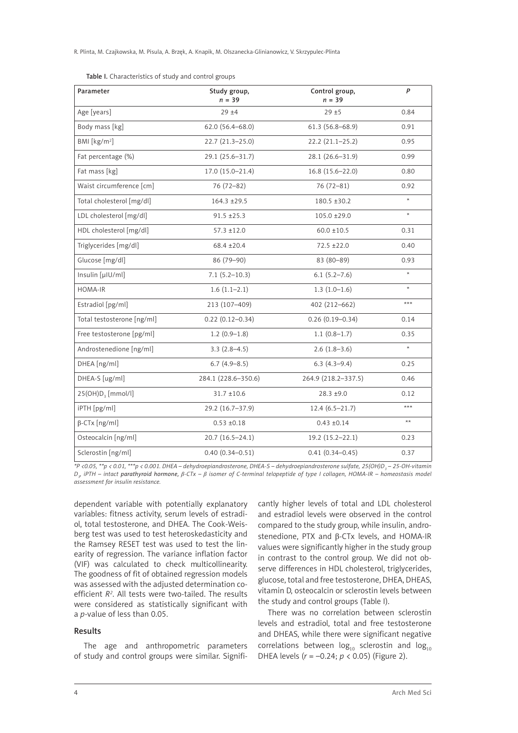R. Plinta, M. Czajkowska, M. Pisula, A. Brzęk, A. Knapik, M. Olszanecka-Glinianowicz, V. Skrzypulec-Plinta

| Parameter                  | Study group,<br>$n = 39$ | Control group,<br>$n = 39$ | P            |
|----------------------------|--------------------------|----------------------------|--------------|
| Age [years]                | $29 + 4$                 | $29 + 5$                   | 0.84         |
| Body mass [kg]             | $62.0(56.4 - 68.0)$      | $61.3(56.8 - 68.9)$        | 0.91         |
| BMI [ $kg/m2$ ]            | 22.7 (21.3-25.0)         | $22.2(21.1-25.2)$          | 0.95         |
| Fat percentage (%)         | 29.1 (25.6-31.7)         | 28.1 (26.6-31.9)           | 0.99         |
| Fat mass [kg]              | $17.0(15.0-21.4)$        | $16.8(15.6 - 22.0)$        | 0.80         |
| Waist circumference [cm]   | 76 (72-82)               | $76(72 - 81)$              | 0.92         |
| Total cholesterol [mg/dl]  | $164.3 \pm 29.5$         | $180.5 \pm 30.2$           | $\star$      |
| LDL cholesterol [mg/dl]    | $91.5 \pm 25.3$          | $105.0 \pm 29.0$           | $\star$      |
| HDL cholesterol [mg/dl]    | $57.3 \pm 12.0$          | $60.0 \pm 10.5$            | 0.31         |
| Triglycerides [mg/dl]      | $68.4 \pm 20.4$          | $72.5 + 22.0$              | 0.40         |
| Glucose [mg/dl]            | 86 (79-90)               | 83 (80-89)                 | 0.93         |
| Insulin [µ U/ml]           | $7.1(5.2 - 10.3)$        | $6.1(5.2 - 7.6)$           | $\star$      |
| HOMA-IR                    | $1.6(1.1-2.1)$           | $1.3(1.0-1.6)$             | $\star$      |
| Estradiol [pg/ml]          | 213 (107-409)            | 402 (212-662)              | $***$        |
| Total testosterone [ng/ml] | $0.22(0.12 - 0.34)$      | $0.26(0.19 - 0.34)$        | 0.14         |
| Free testosterone [pg/ml]  | $1.2(0.9-1.8)$           | $1.1(0.8-1.7)$             | 0.35         |
| Androstenedione [ng/ml]    | $3.3(2.8-4.5)$           | $2.6(1.8-3.6)$             | $\star$      |
| DHEA [ng/ml]               | $6.7(4.9-8.5)$           | $6.3(4.3-9.4)$             | 0.25         |
| DHEA-S [ug/ml]             | 284.1 (228.6-350.6)      | 264.9 (218.2-337.5)        | 0.46         |
| $25(OH)D3$ [mmol/l]        | $31.7 \pm 10.6$          | $28.3 \pm 9.0$             | 0.12         |
| iPTH [pg/ml]               | 29.2 (16.7-37.9)         | $12.4(6.5-21.7)$           | $***$        |
| $\beta$ -CTx [ng/ml]       | $0.53 \pm 0.18$          | $0.43 \pm 0.14$            | $\star\star$ |
| Osteocalcin [ng/ml]        | $20.7(16.5 - 24.1)$      | $19.2(15.2 - 22.1)$        | 0.23         |
| Sclerostin [ng/ml]         | $0.40(0.34 - 0.51)$      | $0.41(0.34 - 0.45)$        | 0.37         |

Table I. Characteristics of study and control groups

*\*P <0.05, \*\*p < 0.01, \*\*\*p < 0.001. DHEA* – dehydroepiandrosterone, DHEA-S – dehydroepiandrosterone sulfate, 25(OH)D<sub>3</sub> – 25-OH-vitamin *D3 , iPTH – intact parathyroid hormone, β-CTx – β isomer of C-terminal telopeptide of type I collagen, HOMA-IR – homeostasis model assessment for insulin resistance.*

dependent variable with potentially explanatory variables: fitness activity, serum levels of estradiol, total testosterone, and DHEA. The Cook-Weisberg test was used to test heteroskedasticity and the Ramsey RESET test was used to test the linearity of regression. The variance inflation factor (VIF) was calculated to check multicollinearity. The goodness of fit of obtained regression models was assessed with the adjusted determination coefficient *R2* . All tests were two-tailed. The results were considered as statistically significant with a *p*-value of less than 0.05.

## Results

The age and anthropometric parameters of study and control groups were similar. Significantly higher levels of total and LDL cholesterol and estradiol levels were observed in the control compared to the study group, while insulin, androstenedione, PTX and β-CTx levels, and HOMA-IR values were significantly higher in the study group in contrast to the control group. We did not observe differences in HDL cholesterol, triglycerides, glucose, total and free testosterone, DHEA, DHEAS, vitamin D, osteocalcin or sclerostin levels between the study and control groups (Table I).

There was no correlation between sclerostin levels and estradiol, total and free testosterone and DHEAS, while there were significant negative correlations between  $log_{10}$  sclerostin and  $log_{10}$ DHEA levels (*r* = –0.24; *p* < 0.05) (Figure 2).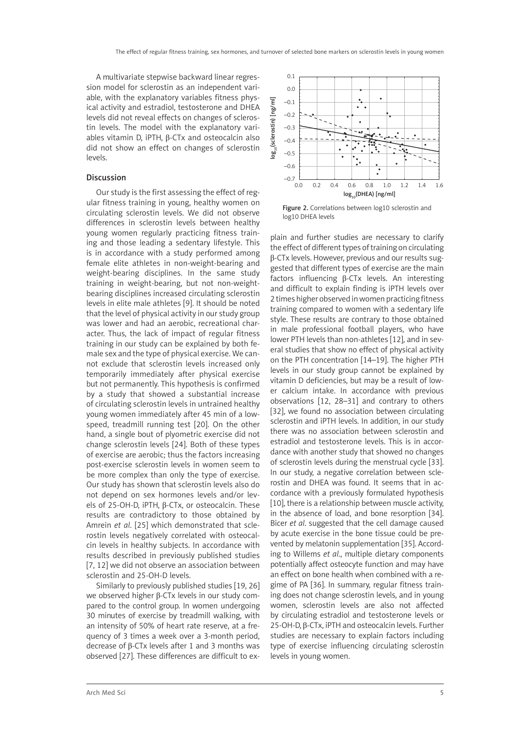A multivariate stepwise backward linear regression model for sclerostin as an independent variable, with the explanatory variables fitness physical activity and estradiol, testosterone and DHEA levels did not reveal effects on changes of sclerostin levels. The model with the explanatory variables vitamin D, iPTH, β-CTx and osteocalcin also did not show an effect on changes of sclerostin levels.

## Discussion

Our study is the first assessing the effect of regular fitness training in young, healthy women on circulating sclerostin levels. We did not observe differences in sclerostin levels between healthy young women regularly practicing fitness training and those leading a sedentary lifestyle. This is in accordance with a study performed among female elite athletes in non-weight-bearing and weight-bearing disciplines. In the same study training in weight-bearing, but not non-weightbearing disciplines increased circulating sclerostin levels in elite male athletes [9]. It should be noted that the level of physical activity in our study group was lower and had an aerobic, recreational character. Thus, the lack of impact of regular fitness training in our study can be explained by both female sex and the type of physical exercise. We cannot exclude that sclerostin levels increased only temporarily immediately after physical exercise but not permanently. This hypothesis is confirmed by a study that showed a substantial increase of circulating sclerostin levels in untrained healthy young women immediately after 45 min of a lowspeed, treadmill running test [20]. On the other hand, a single bout of plyometric exercise did not change sclerostin levels [24]. Both of these types of exercise are aerobic; thus the factors increasing post-exercise sclerostin levels in women seem to be more complex than only the type of exercise. Our study has shown that sclerostin levels also do not depend on sex hormones levels and/or levels of 25-OH-D, iPTH, β-CTx, or osteocalcin. These results are contradictory to those obtained by Amrein *et al*. [25] which demonstrated that sclerostin levels negatively correlated with osteocalcin levels in healthy subjects. In accordance with results described in previously published studies [7, 12] we did not observe an association between sclerostin and 25-OH-D levels.

Similarly to previously published studies [19, 26] we observed higher β-CTx levels in our study compared to the control group. In women undergoing 30 minutes of exercise by treadmill walking, with an intensity of 50% of heart rate reserve, at a frequency of 3 times a week over a 3-month period, decrease of β-CTx levels after 1 and 3 months was observed [27]. These differences are difficult to ex-



Figure 2. Correlations between log10 sclerostin and log10 DHEA levels

plain and further studies are necessary to clarify the effect of different types of training on circulating β-CTx levels. However, previous and our results suggested that different types of exercise are the main factors influencing β-CTx levels. An interesting and difficult to explain finding is iPTH levels over 2 times higher observed in women practicing fitness training compared to women with a sedentary life style. These results are contrary to those obtained in male professional football players, who have lower PTH levels than non-athletes [12], and in several studies that show no effect of physical activity on the PTH concentration [14–19]. The higher PTH levels in our study group cannot be explained by vitamin D deficiencies, but may be a result of lower calcium intake. In accordance with previous observations [12, 28–31] and contrary to others [32], we found no association between circulating sclerostin and iPTH levels. In addition, in our study there was no association between sclerostin and estradiol and testosterone levels. This is in accordance with another study that showed no changes of sclerostin levels during the menstrual cycle [33]. In our study, a negative correlation between sclerostin and DHEA was found. It seems that in accordance with a previously formulated hypothesis [10], there is a relationship between muscle activity, in the absence of load, and bone resorption [34]. Bicer *et al*. suggested that the cell damage caused by acute exercise in the bone tissue could be prevented by melatonin supplementation [35]. According to Willems *et al*., multiple dietary components potentially affect osteocyte function and may have an effect on bone health when combined with a regime of PA [36]. In summary, regular fitness training does not change sclerostin levels, and in young women, sclerostin levels are also not affected by circulating estradiol and testosterone levels or 25-OH-D, β-CTx, iPTH and osteocalcin levels. Further studies are necessary to explain factors including type of exercise influencing circulating sclerostin levels in young women.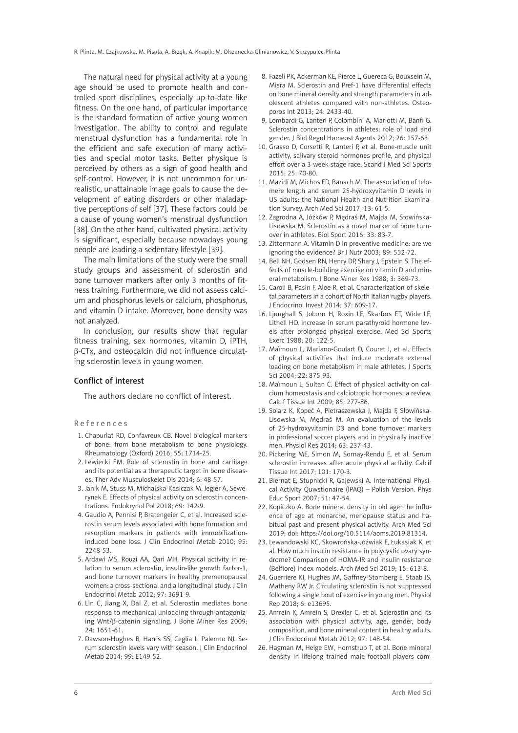The natural need for physical activity at a young age should be used to promote health and controlled sport disciplines, especially up-to-date like fitness. On the one hand, of particular importance is the standard formation of active young women investigation. The ability to control and regulate menstrual dysfunction has a fundamental role in the efficient and safe execution of many activities and special motor tasks. Better physique is perceived by others as a sign of good health and self-control. However, it is not uncommon for unrealistic, unattainable image goals to cause the development of eating disorders or other maladaptive perceptions of self [37]. These factors could be a cause of young women's menstrual dysfunction [38]. On the other hand, cultivated physical activity is significant, especially because nowadays young people are leading a sedentary lifestyle [39].

The main limitations of the study were the small study groups and assessment of sclerostin and bone turnover markers after only 3 months of fitness training. Furthermore, we did not assess calcium and phosphorus levels or calcium, phosphorus, and vitamin D intake. Moreover, bone density was not analyzed.

In conclusion, our results show that regular fitness training, sex hormones, vitamin D, iPTH, β-CTx, and osteocalcin did not influence circulating sclerostin levels in young women.

## Conflict of interest

The authors declare no conflict of interest.

References

- 1. Chapurlat RD, Confavreux CB. Novel biological markers of bone: from bone metabolism to bone physiology. Rheumatology (Oxford) 2016; 55: 1714-25.
- 2. Lewiecki EM. Role of sclerostin in bone and cartilage and its potential as a therapeutic target in bone diseases. Ther Adv Musculoskelet Dis 2014; 6: 48-57.
- 3. Janik M, Stuss M, Michalska-Kasiczak M, Jegier A, Sewerynek E. Effects of physical activity on sclerostin concentrations. Endokrynol Pol 2018; 69: 142-9.
- 4. Gaudio A, Pennisi P, Bratengeier C, et al. Increased sclerostin serum levels associated with bone formation and resorption markers in patients with immobilizationinduced bone loss. J Clin Endocrinol Metab 2010; 95: 2248-53.
- 5. Ardawi MS, Rouzi AA, Qari MH. Physical activity in relation to serum sclerostin, insulin-like growth factor-1, and bone turnover markers in healthy premenopausal women: a cross-sectional and a longitudinal study. J Clin Endocrinol Metab 2012; 97: 3691-9.
- 6. Lin C, Jiang X, Dai Z, et al. Sclerostin mediates bone response to mechanical unloading through antagonizing Wnt/β-catenin signaling. J Bone Miner Res 2009; 24: 1651-61.
- 7. Dawson-Hughes B, Harris SS, Ceglia L, Palermo NJ. Serum sclerostin levels vary with season. J Clin Endocrinol Metab 2014; 99: E149-52.
- 8. Fazeli PK, Ackerman KE, Pierce L, Guereca G, Bouxsein M, Misra M. Sclerostin and Pref-1 have differential effects on bone mineral density and strength parameters in adolescent athletes compared with non-athletes. Osteoporos Int 2013; 24: 2433-40.
- 9. Lombardi G, Lanteri P, Colombini A, Mariotti M, Banfi G. Sclerostin concentrations in athletes: role of load and gender. J Biol Regul Homeost Agents 2012; 26: 157-63.
- 10. Grasso D, Corsetti R, Lanteri P, et al. Bone-muscle unit activity, salivary steroid hormones profile, and physical effort over a 3-week stage race. Scand J Med Sci Sports 2015; 25: 70-80.
- 11. Mazidi M, Michos ED, Banach M. The association of telomere length and serum 25-hydroxyvitamin D levels in US adults: the National Health and Nutrition Examination Survey. Arch Med Sci 2017; 13: 61-5.
- 12. Zagrodna A, Jóźków P, Mędraś M, Majda M, Słowińska-Lisowska M. Sclerostin as a novel marker of bone turnover in athletes. Biol Sport 2016; 33: 83-7.
- 13. Zittermann A. Vitamin D in preventive medicine: are we ignoring the evidence? Br J Nutr 2003; 89: 552-72.
- 14. Bell NH, Godsen RN, Henry DP, Shary J, Epstein S. The effects of muscle-building exercise on vitamin D and mineral metabolism. J Bone Miner Res 1988; 3: 369-73.
- 15. Caroli B, Pasin F, Aloe R, et al. Characterization of skeletal parameters in a cohort of North Italian rugby players. J Endocrinol Invest 2014; 37: 609-17.
- 16. Ljunghall S, Joborn H, Roxin LE, Skarfors ET, Wide LE, Lithell HO. Increase in serum parathyroid hormone levels after prolonged physical exercise. Med Sci Sports Exerc 1988; 20: 122-5.
- 17. Maïmoun L, Mariano-Goulart D, Couret I, et al. Effects of physical activities that induce moderate external loading on bone metabolism in male athletes. J Sports Sci 2004; 22: 875-93.
- 18. Maïmoun L, Sultan C. Effect of physical activity on calcium homeostasis and calciotropic hormones: a review. Calcif Tissue Int 2009; 85: 277-86.
- 19. Solarz K, Kopeć A, Pietraszewska J, Majda F, Słowińska-Lisowska M, Mędraś M. An evaluation of the levels of 25-hydroxyvitamin D3 and bone turnover markers in professional soccer players and in physically inactive men. Physiol Res 2014; 63: 237-43.
- 20. Pickering ME, Simon M, Sornay-Rendu E, et al. Serum sclerostin increases after acute physical activity. Calcif Tissue Int 2017; 101: 170-3.
- 21. Biernat E, Stupnicki R, Gajewski A. International Physical Activity Quwstionaire (IPAQ) – Polish Version. Phys Educ Sport 2007; 51: 47-54.
- 22. Kopiczko A. Bone mineral density in old age: the influence of age at menarche, menopause status and habitual past and present physical activity. Arch Med Sci 2019; doi: https://doi.org/10.5114/aoms.2019.81314.
- 23. Lewandowski KC, Skowrońska-Jóźwiak E, Łukasiak K, et al. How much insulin resistance in polycystic ovary syndrome? Comparison of HOMA-IR and insulin resistance (Belfiore) index models. Arch Med Sci 2019; 15: 613-8.
- 24. Guerriere KI, Hughes JM, Gaffney-Stomberg E, Staab JS, Matheny RW Jr. Circulating sclerostin is not suppressed following a single bout of exercise in young men. Physiol Rep 2018; 6: e13695.
- 25. Amrein K, Amrein S, Drexler C, et al. Sclerostin and its association with physical activity, age, gender, body composition, and bone mineral content in healthy adults. J Clin Endocrinol Metab 2012; 97: 148-54.
- 26. Hagman M, Helge EW, Hornstrup T, et al. Bone mineral density in lifelong trained male football players com-